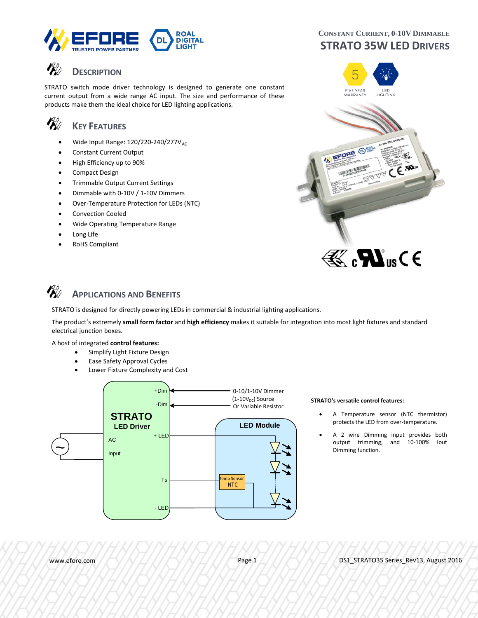

## **DESCRIPTION**

STRATO switch mode driver technology is designed to generate one constant current output from a wide range AC input. The size and performance of these products make them the ideal choice for LED lighting applications.

#### **VK**O **KEY FEATURES**

- Wide Input Range:  $120/220-240/277V_{AC}$
- Constant Current Output
- High Efficiency up to 90%
- Compact Design
- Trimmable Output Current Settings
- Dimmable with 0-10V / 1-10V Dimmers
- Over-Temperature Protection for LEDs (NTC)
- Convection Cooled
- Wide Operating Temperature Range
- Long Life
- RoHS Compliant

### **CONSTANT CURRENT, 0-10V DIMMABLE STRATO 35W LED DRIVERS**



# $\mathbb{E}$   $\mathbf{M}$ <sub>us</sub> $\mathsf{C}$   $\epsilon$

#### VK) **APPLICATIONS AND BENEFITS**

STRATO is designed for directly powering LEDs in commercial & industrial lighting applications.

The product's extremely **small form factor** and **high efficiency** makes it suitable for integration into most light fixtures and standard electrical junction boxes.

#### A host of integrated **control features:**

- Simplify Light Fixture Design
- Ease Safety Approval Cycles
- Lower Fixture Complexity and Cost



#### (1-10V<sub>DC</sub>) Source **STRATO's versatile control features:**

- A Temperature sensor (NTC thermistor) protects the LED from over-temperature.
- A 2 wire Dimming input provides both output trimming, and 10-100% Iout Dimming function.

www.efore.com **Page 1** DS1\_STRATO35 Series\_Rev13, August 2016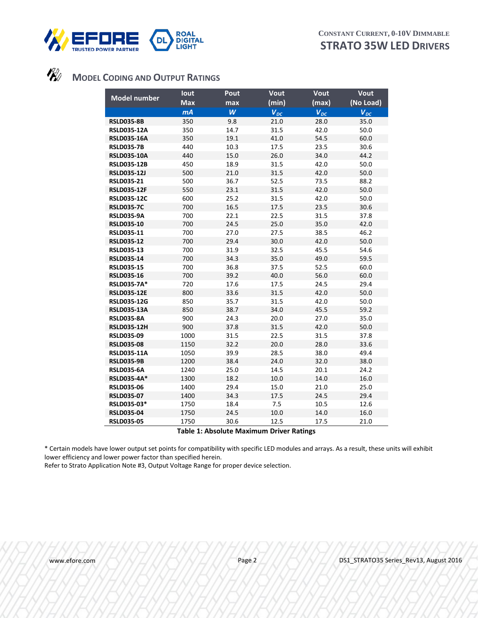



### **MODEL CODING AND OUTPUT RATINGS**

| <b>Model number</b>                    | lout         | Pout         | <b>Vout</b>  | Vout         | Vout         |
|----------------------------------------|--------------|--------------|--------------|--------------|--------------|
|                                        | <b>Max</b>   | max          | (min)        | (max)        | (No Load)    |
|                                        | mA           | W            | $V_{DC}$     | $V_{DC}$     | $V_{DC}$     |
| <b>RSLD035-8B</b>                      | 350          | 9.8          | 21.0         | 28.0         | 35.0         |
| <b>RSLD035-12A</b>                     | 350          | 14.7         | 31.5         | 42.0         | 50.0         |
| <b>RSLD035-16A</b>                     | 350          | 19.1         | 41.0         | 54.5         | 60.0         |
| <b>RSLD035-7B</b>                      | 440          | 10.3         | 17.5         | 23.5         | 30.6         |
| <b>RSLD035-10A</b>                     | 440          | 15.0         | 26.0         | 34.0         | 44.2         |
| <b>RSLD035-12B</b>                     | 450          | 18.9         | 31.5         | 42.0         | 50.0         |
| <b>RSLD035-12J</b>                     | 500          | 21.0         | 31.5         | 42.0         | 50.0         |
| <b>RSLD035-21</b>                      | 500          | 36.7         | 52.5         | 73.5         | 88.2         |
| <b>RSLD035-12F</b>                     | 550          | 23.1         | 31.5         | 42.0         | 50.0         |
| <b>RSLD035-12C</b>                     | 600          | 25.2         | 31.5         | 42.0         | 50.0         |
| <b>RSLD035-7C</b>                      | 700          | 16.5         | 17.5         | 23.5         | 30.6         |
| <b>RSLD035-9A</b>                      | 700          | 22.1         | 22.5         | 31.5         | 37.8         |
| <b>RSLD035-10</b>                      | 700          | 24.5         | 25.0         | 35.0         | 42.0         |
| RSLD035-11                             | 700          | 27.0         | 27.5         | 38.5         | 46.2         |
| <b>RSLD035-12</b>                      | 700          | 29.4         | 30.0         | 42.0         | 50.0         |
| <b>RSLD035-13</b>                      | 700          | 31.9         | 32.5         | 45.5         | 54.6         |
| <b>RSLD035-14</b>                      | 700          | 34.3         | 35.0         | 49.0         | 59.5         |
| <b>RSLD035-15</b>                      | 700          | 36.8         | 37.5         | 52.5         | 60.0         |
| <b>RSLD035-16</b>                      | 700          | 39.2         | 40.0         | 56.0         | 60.0         |
| <b>RSLD035-7A*</b>                     | 720          | 17.6         | 17.5         | 24.5         | 29.4         |
| <b>RSLD035-12E</b>                     | 800          | 33.6         | 31.5         | 42.0         | 50.0         |
| <b>RSLD035-12G</b>                     | 850          | 35.7         | 31.5         | 42.0         | 50.0         |
| <b>RSLD035-13A</b>                     | 850          | 38.7         | 34.0         | 45.5         | 59.2         |
| <b>RSLD035-8A</b>                      | 900          | 24.3         | 20.0         | 27.0         | 35.0         |
| <b>RSLD035-12H</b>                     | 900          | 37.8         | 31.5         | 42.0         | 50.0         |
| <b>RSLD035-09</b><br><b>RSLD035-08</b> | 1000         | 31.5         | 22.5         | 31.5         | 37.8         |
| <b>RSLD035-11A</b>                     | 1150<br>1050 | 32.2<br>39.9 | 20.0<br>28.5 | 28.0<br>38.0 | 33.6<br>49.4 |
| <b>RSLD035-9B</b>                      | 1200         | 38.4         | 24.0         | 32.0         | 38.0         |
| <b>RSLD035-6A</b>                      | 1240         | 25.0         | 14.5         | 20.1         | 24.2         |
| <b>RSLD035-4A*</b>                     | 1300         | 18.2         | 10.0         | 14.0         | 16.0         |
| <b>RSLD035-06</b>                      | 1400         | 29.4         | 15.0         | 21.0         | 25.0         |
| <b>RSLD035-07</b>                      | 1400         | 34.3         | 17.5         | 24.5         | 29.4         |
| RSLD035-03*                            | 1750         | 18.4         | 7.5          | 10.5         | 12.6         |
| <b>RSLD035-04</b>                      | 1750         | 24.5         | 10.0         | 14.0         | 16.0         |
| <b>RSLD035-05</b>                      | 1750         | 30.6         | 12.5         | 17.5         | 21.0         |
|                                        |              |              |              |              |              |

#### **Table 1: Absolute Maximum Driver Ratings**

\* Certain models have lower output set points for compatibility with specific LED modules and arrays. As a result, these units will exhibit lower efficiency and lower power factor than specified herein.

Refer to Strato Application Note #3, Output Voltage Range for proper device selection.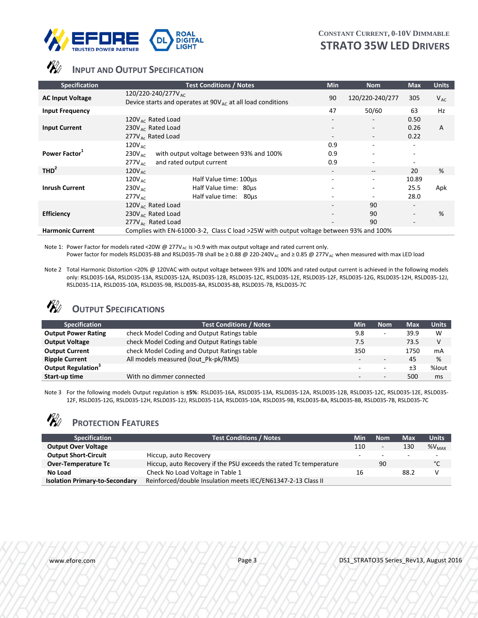

# *INPUT AND OUTPUT SPECIFICATION*

| <b>Specification</b>                         | <b>Test Conditions / Notes</b>                                                                                                                                                | <b>Min</b>               | <b>Nom</b>                                          | <b>Max</b>            | <b>Units</b> |
|----------------------------------------------|-------------------------------------------------------------------------------------------------------------------------------------------------------------------------------|--------------------------|-----------------------------------------------------|-----------------------|--------------|
| <b>AC Input Voltage</b>                      | $120/220 - 240/277V_{AC}$<br>Device starts and operates at $90V_{AC}$ at all load conditions                                                                                  | 90                       | 120/220-240/277                                     | 305                   | $V_{AC}$     |
| <b>Input Frequency</b>                       |                                                                                                                                                                               | 47                       | 50/60                                               | 63                    | Hz           |
| <b>Input Current</b>                         | 120 $V_{AC}$ Rated Load<br>230V <sub>AC</sub> Rated Load<br>$277V_{\text{Ac}}$ Rated Load                                                                                     | ۰.                       | ٠<br>$\sim$<br>٠                                    | 0.50<br>0.26<br>0.22  | A            |
| Power Factor <sup>1</sup>                    | $120V_{AC}$<br>with output voltage between 93% and 100%<br>$230V_{AC}$<br>and rated output current<br>$277V_{AC}$                                                             | 0.9<br>0.9<br>0.9        | ٠<br>٠.<br>٠                                        |                       |              |
| THD <sup>2</sup>                             | $120V_{\text{AC}}$                                                                                                                                                            | $\overline{\phantom{a}}$ | $\hspace{0.05cm} -\hspace{0.05cm} -\hspace{0.05cm}$ | 20                    | %            |
| <b>Inrush Current</b>                        | $120V_{AC}$<br>Half Value time: 100us<br>$230V_{\text{AC}}$<br>Half Value time: 80us<br>Half value time:<br>277V <sub>AC</sub><br>80µs                                        |                          | ٠.<br>٠<br>٠                                        | 10.89<br>25.5<br>28.0 | Apk          |
| <b>Efficiency</b><br><b>Harmonic Current</b> | 120 $V_{AC}$ Rated Load<br>230 $V_{AC}$ Rated Load<br>$277V_{\text{ac}}$ Rated Load<br>Complies with EN-61000-3-2, Class C load >25W with output voltage between 93% and 100% |                          | 90<br>90<br>90                                      | -                     | %            |
|                                              |                                                                                                                                                                               |                          |                                                     |                       |              |

Note 1: Power Factor for models rated <20W @ 277V<sub>AC</sub> is >0.9 with max output voltage and rated current only.

Power factor for models RSLD035-8B and RSLD035-7B shall be ≥ 0.88 @ 220-240V<sub>AC</sub> and ≥ 0.85 @ 277V<sub>AC</sub> when measured with max LED load

Note 2 Total Harmonic Distortion <20% @ 120VAC with output voltage between 93% and 100% and rated output current is achieved in the following models only: RSLD035-16A, RSLD035-13A, RSLD035-12A, RSLD035-12B, RSLD035-12C, RSLD035-12E, RSLD035-12F, RSLD035-12G, RSLD035-12H, RSLD035-12J, RSLD035-11A, RSLD035-10A, RSLD035-9B, RSLD035-8A, RSLD035-8B, RSLD035-7B, RSLD035-7C

## *<u>W</u>* OUTPUT SPECIFICATIONS

| <b>Specification</b>       | <b>Test Conditions / Notes</b>              | Min    | <b>Nom</b>               | <b>Max</b> | <b>Units</b> |
|----------------------------|---------------------------------------------|--------|--------------------------|------------|--------------|
| <b>Output Power Rating</b> | check Model Coding and Output Ratings table | 9.8    | ۰                        | 39.9       | W            |
| <b>Output Voltage</b>      | check Model Coding and Output Ratings table | 7.5    |                          | 73.5       | V            |
| <b>Output Current</b>      | check Model Coding and Output Ratings table | 350    |                          | 1750       | mA           |
| <b>Ripple Current</b>      | All models measured (lout Pk-pk/RMS)        | $\sim$ | $\overline{\phantom{a}}$ | 45         | %            |
| <b>Output Regulation</b>   |                                             | -      | $\overline{\phantom{0}}$ | ±3         | %lout        |
| Start-up time              | With no dimmer connected                    | $\sim$ | $\sim$                   | 500        | ms           |

Note 3 For the following models Output regulation is **±5%**: RSLD035-16A, RSLD035-13A, RSLD035-12A, RSLD035-12B, RSLD035-12C, RSLD035-12E, RSLD035- 12F, RSLD035-12G, RSLD035-12H, RSLD035-12J, RSLD035-11A, RSLD035-10A, RSLD035-9B, RSLD035-8A, RSLD035-8B, RSLD035-7B, RSLD035-7C

#### **VK**A **PROTECTION FEATURES**

| <b>Specification</b>                  | <b>Test Conditions / Notes</b>                                    | Min | <b>Nom</b>               | Max  | Units     |
|---------------------------------------|-------------------------------------------------------------------|-----|--------------------------|------|-----------|
| <b>Output Over Voltage</b>            |                                                                   | 110 | $\overline{\phantom{a}}$ | 130  | $W_{MAX}$ |
| <b>Output Short-Circuit</b>           | Hiccup, auto Recovery                                             | -   | $\overline{\phantom{0}}$ |      |           |
| <b>Over-Temperature Tc</b>            | Hiccup, auto Recovery if the PSU exceeds the rated Tc temperature |     | 90                       |      | °С        |
| No Load                               | Check No Load Voltage in Table 1                                  | 16  |                          | 88.2 | v         |
| <b>Isolation Primary-to-Secondary</b> | Reinforced/double Insulation meets IEC/EN61347-2-13 Class II      |     |                          |      |           |

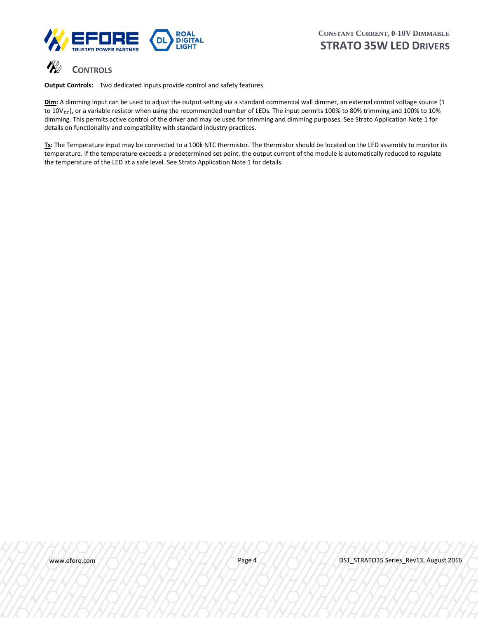



**Output Controls:** Two dedicated inputs provide control and safety features.

**Dim:** A dimming input can be used to adjust the output setting via a standard commercial wall dimmer, an external control voltage source (1 to  $10V_{DC}$ ), or a variable resistor when using the recommended number of LEDs. The input permits 100% to 80% trimming and 100% to 10% dimming. This permits active control of the driver and may be used for trimming and dimming purposes. See Strato Application Note 1 for details on functionality and compatibility with standard industry practices.

Ts: The Temperature input may be connected to a 100k NTC thermistor. The thermistor should be located on the LED assembly to monitor its temperature. If the temperature exceeds a predetermined set point, the output current of the module is automatically reduced to regulate the temperature of the LED at a safe level. See Strato Application Note 1 for details.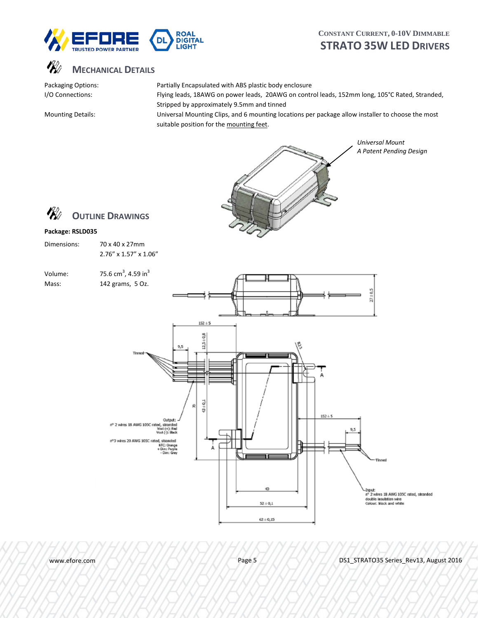



Packaging Options: Partially Encapsulated with ABS plastic body enclosure I/O Connections: Flying leads, 18AWG on power leads, 20AWG on control leads, 152mm long, 105°C Rated, Stranded, Stripped by approximately 9.5mm and tinned

Mounting Details: Universal Mounting Clips, and 6 mounting locations per package allow installer to choose the most suitable position for the mounting feet.



*A Patent Pending Design*



### **Package: RSLD035**

| Dimensions: | 70 x 40 x 27mm        |
|-------------|-----------------------|
|             | 2.76" x 1.57" x 1.06" |

| Volume: | 75.6 cm <sup>3</sup> , 4.59 in <sup>3</sup> |
|---------|---------------------------------------------|
| Mass:   | 142 grams, 5 Oz.                            |



www.efore.com  $P(X|X)$   $\rightarrow$   $N$   $\rightarrow$   $N$   $\rightarrow$  Page 5  $\rightarrow$   $N$   $\rightarrow$   $N$   $\rightarrow$  DS1 STRATO35 Series Rev13, August 2016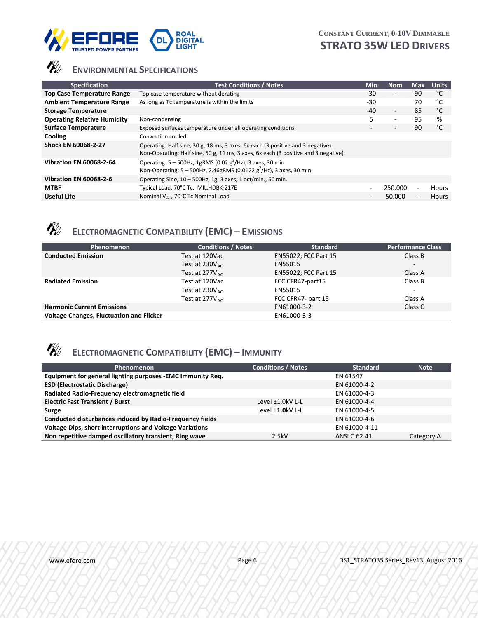



# **ENVIRONMENTAL SPECIFICATIONS**

| <b>Specification</b>               | <b>Test Conditions / Notes</b>                                                                                                                                         | <b>Min</b> | <b>Nom</b>               | Max | <b>Units</b> |
|------------------------------------|------------------------------------------------------------------------------------------------------------------------------------------------------------------------|------------|--------------------------|-----|--------------|
| <b>Top Case Temperature Range</b>  | Top case temperature without derating                                                                                                                                  | $-30$      | $\overline{\phantom{a}}$ | 90  | °C           |
| <b>Ambient Temperature Range</b>   | As long as Tc temperature is within the limits                                                                                                                         | $-30$      |                          | 70  | °C           |
| <b>Storage Temperature</b>         |                                                                                                                                                                        | $-40$      | $\overline{\phantom{a}}$ | 85  | °C           |
| <b>Operating Relative Humidity</b> | Non-condensing                                                                                                                                                         | 5          | ٠                        | 95  | %            |
| <b>Surface Temperature</b>         | Exposed surfaces temperature under all operating conditions                                                                                                            |            | $\overline{\phantom{a}}$ | 90  | °C           |
| Cooling                            | Convection cooled                                                                                                                                                      |            |                          |     |              |
| Shock EN 60068-2-27                | Operating: Half sine, 30 g, 18 ms, 3 axes, 6x each (3 positive and 3 negative).<br>Non-Operating: Half sine, 50 g, 11 ms, 3 axes, 6x each (3 positive and 3 negative). |            |                          |     |              |
| <b>Vibration EN 60068-2-64</b>     | Operating: $5 - 500$ Hz, 1gRMS (0.02 g <sup>2</sup> /Hz), 3 axes, 30 min.<br>Non-Operating: $5 - 500$ Hz, 2.46gRMS (0.0122 g <sup>2</sup> /Hz), 3 axes, 30 min.        |            |                          |     |              |
| <b>Vibration EN 60068-2-6</b>      | Operating Sine, 10 - 500Hz, 1g, 3 axes, 1 oct/min., 60 min.                                                                                                            |            |                          |     |              |
| <b>MTBF</b>                        | Typical Load, 70°C Tc, MIL.HDBK-217E                                                                                                                                   |            | 250.000                  |     | Hours        |
| <b>Useful Life</b>                 | Nominal V <sub>AC</sub> , 70°C Tc Nominal Load                                                                                                                         | -          | 50.000                   |     | <b>Hours</b> |



# **ELECTROMAGNETIC COMPATIBILITY (EMC) – EMISSIONS**

| Phenomenon                                      | <b>Conditions / Notes</b>   | <b>Standard</b>             | <b>Performance Class</b> |
|-------------------------------------------------|-----------------------------|-----------------------------|--------------------------|
| <b>Conducted Emission</b>                       | Test at 120Vac              | <b>EN55022; FCC Part 15</b> | Class B                  |
|                                                 | Test at $230V_{\text{arc}}$ | EN55015                     | $\overline{\phantom{a}}$ |
|                                                 | Test at $277V_{\text{arc}}$ | <b>EN55022; FCC Part 15</b> | Class A                  |
| <b>Radiated Emission</b>                        | Test at 120Vac              | FCC CFR47-part15            | Class B                  |
|                                                 | Test at $230V_{\text{arc}}$ | EN55015                     | $\overline{\phantom{a}}$ |
|                                                 | Test at $277V_{\text{arc}}$ | FCC CFR47- part 15          | Class A                  |
| <b>Harmonic Current Emissions</b>               |                             | EN61000-3-2                 | Class C                  |
| <b>Voltage Changes, Fluctuation and Flicker</b> |                             | EN61000-3-3                 |                          |



# **ELECTROMAGNETIC COMPATIBILITY (EMC) – IMMUNITY**

| Phenomenon                                                      | <b>Conditions / Notes</b> | <b>Standard</b> | <b>Note</b> |
|-----------------------------------------------------------------|---------------------------|-----------------|-------------|
| Equipment for general lighting purposes -EMC Immunity Req.      |                           | EN 61547        |             |
| <b>ESD (Electrostatic Discharge)</b>                            |                           | EN 61000-4-2    |             |
| Radiated Radio-Frequency electromagnetic field                  |                           | EN 61000-4-3    |             |
| <b>Electric Fast Transient / Burst</b>                          | Level $\pm 1.0$ kV L-L    | EN 61000-4-4    |             |
| Surge                                                           | Level <b>±1.0</b> kV L-L  | EN 61000-4-5    |             |
| Conducted disturbances induced by Radio-Frequency fields        |                           | EN 61000-4-6    |             |
| <b>Voltage Dips, short interruptions and Voltage Variations</b> |                           | EN 61000-4-11   |             |
| Non repetitive damped oscillatory transient, Ring wave          | 2.5kV                     | ANSI C.62.41    | Category A  |